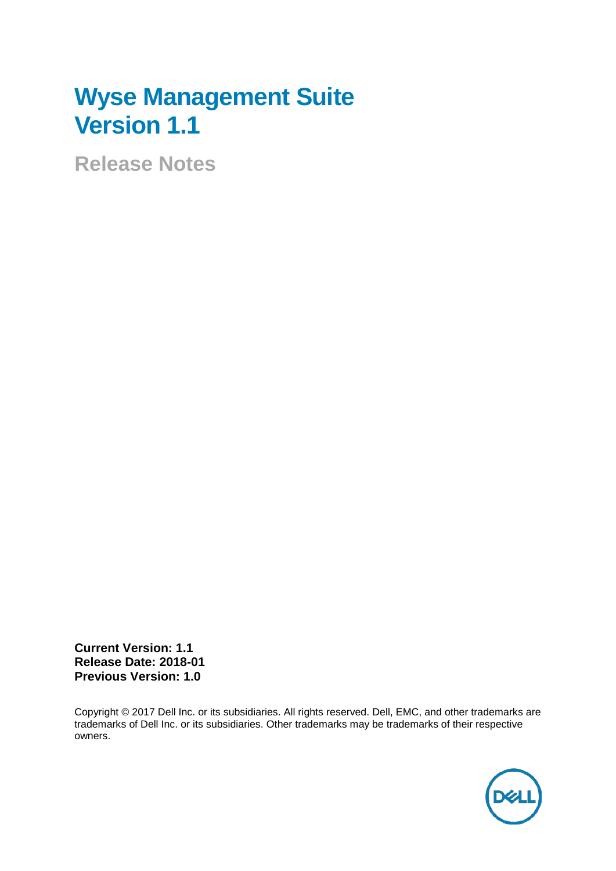# **Wyse Management Suite Version 1.1**

**Release Notes**

**Current Version: 1.1 Release Date: 2018-01 Previous Version: 1.0**

Copyright © 2017 Dell Inc. or its subsidiaries. All rights reserved. Dell, EMC, and other trademarks are trademarks of Dell Inc. or its subsidiaries. Other trademarks may be trademarks of their respective owners.

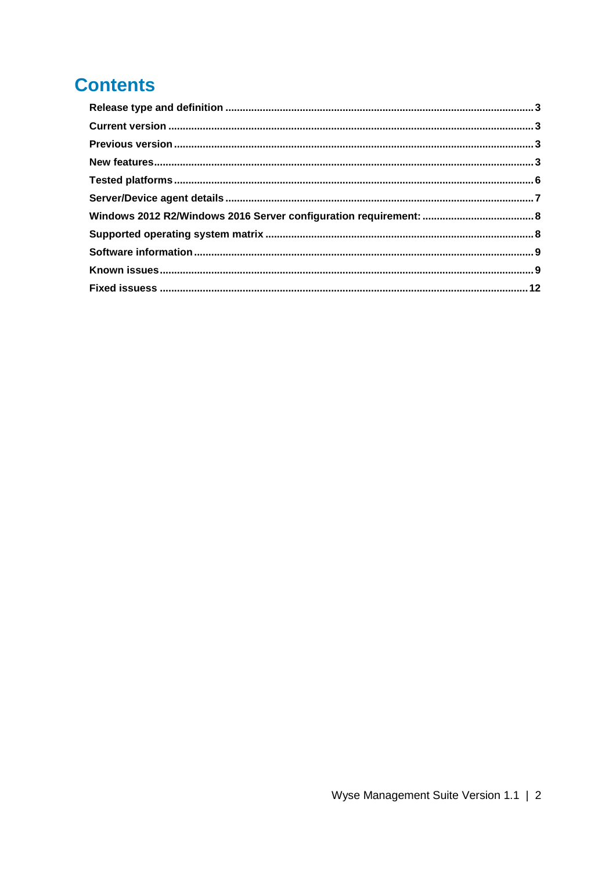### **Contents**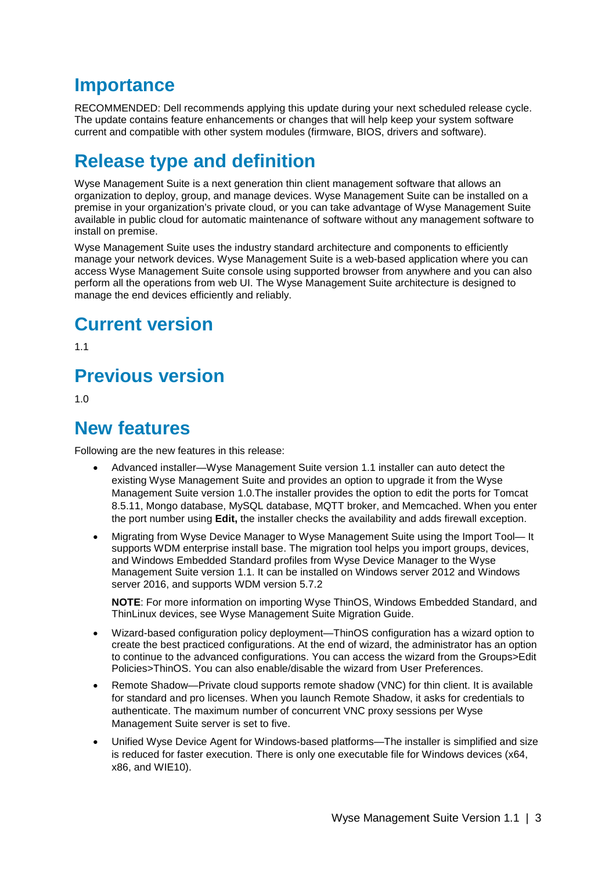### **Importance**

RECOMMENDED: Dell recommends applying this update during your next scheduled release cycle. The update contains feature enhancements or changes that will help keep your system software current and compatible with other system modules (firmware, BIOS, drivers and software).

### <span id="page-2-0"></span>**Release type and definition**

Wyse Management Suite is a next generation thin client management software that allows an organization to deploy, group, and manage devices. Wyse Management Suite can be installed on a premise in your organization's private cloud, or you can take advantage of Wyse Management Suite available in public cloud for automatic maintenance of software without any management software to install on premise.

Wyse Management Suite uses the industry standard architecture and components to efficiently manage your network devices. Wyse Management Suite is a web-based application where you can access Wyse Management Suite console using supported browser from anywhere and you can also perform all the operations from web UI. The Wyse Management Suite architecture is designed to manage the end devices efficiently and reliably.

### <span id="page-2-1"></span>**Current version**

1.1

### <span id="page-2-2"></span>**Previous version**

1.0

### <span id="page-2-3"></span>**New features**

Following are the new features in this release:

- Advanced installer—Wyse Management Suite version 1.1 installer can auto detect the existing Wyse Management Suite and provides an option to upgrade it from the Wyse Management Suite version 1.0.The installer provides the option to edit the ports for Tomcat 8.5.11, Mongo database, MySQL database, MQTT broker, and Memcached. When you enter the port number using **Edit,** the installer checks the availability and adds firewall exception.
- Migrating from Wyse Device Manager to Wyse Management Suite using the Import Tool— It supports WDM enterprise install base. The migration tool helps you import groups, devices, and Windows Embedded Standard profiles from Wyse Device Manager to the Wyse Management Suite version 1.1. It can be installed on Windows server 2012 and Windows server 2016, and supports WDM version 5.7.2

**NOTE**: For more information on importing Wyse ThinOS, Windows Embedded Standard, and ThinLinux devices, see Wyse Management Suite Migration Guide.

- Wizard-based configuration policy deployment—ThinOS configuration has a wizard option to create the best practiced configurations. At the end of wizard, the administrator has an option to continue to the advanced configurations. You can access the wizard from the Groups>Edit Policies>ThinOS. You can also enable/disable the wizard from User Preferences.
- Remote Shadow—Private cloud supports remote shadow (VNC) for thin client. It is available for standard and pro licenses. When you launch Remote Shadow, it asks for credentials to authenticate. The maximum number of concurrent VNC proxy sessions per Wyse Management Suite server is set to five.
- Unified Wyse Device Agent for Windows-based platforms—The installer is simplified and size is reduced for faster execution. There is only one executable file for Windows devices (x64, x86, and WIE10).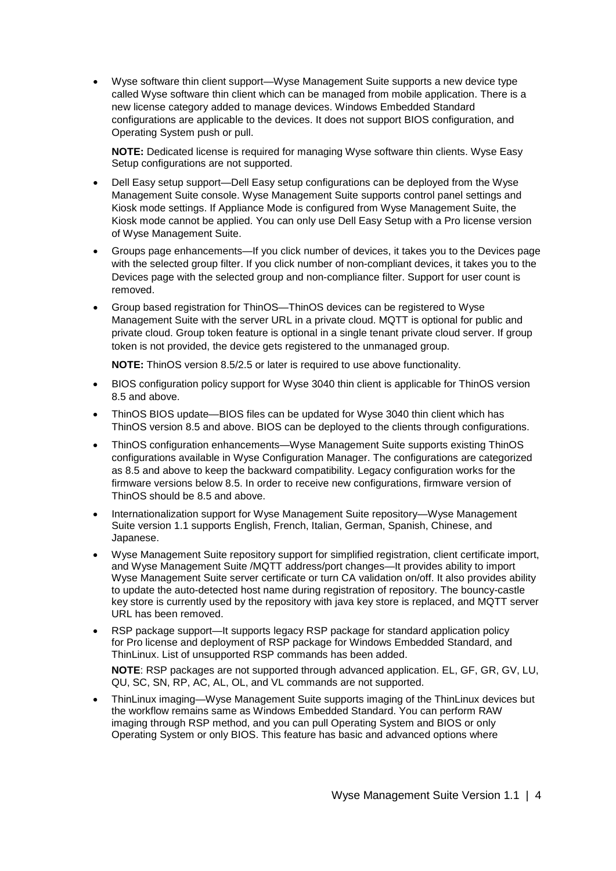• Wyse software thin client support—Wyse Management Suite supports a new device type called Wyse software thin client which can be managed from mobile application. There is a new license category added to manage devices. Windows Embedded Standard configurations are applicable to the devices. It does not support BIOS configuration, and Operating System push or pull.

**NOTE:** Dedicated license is required for managing Wyse software thin clients. Wyse Easy Setup configurations are not supported.

- Dell Easy setup support—Dell Easy setup configurations can be deployed from the Wyse Management Suite console. Wyse Management Suite supports control panel settings and Kiosk mode settings. If Appliance Mode is configured from Wyse Management Suite, the Kiosk mode cannot be applied. You can only use Dell Easy Setup with a Pro license version of Wyse Management Suite.
- Groups page enhancements—If you click number of devices, it takes you to the Devices page with the selected group filter. If you click number of non-compliant devices, it takes you to the Devices page with the selected group and non-compliance filter. Support for user count is removed.
- Group based registration for ThinOS—ThinOS devices can be registered to Wyse Management Suite with the server URL in a private cloud. MQTT is optional for public and private cloud. Group token feature is optional in a single tenant private cloud server. If group token is not provided, the device gets registered to the unmanaged group.

**NOTE:** ThinOS version 8.5/2.5 or later is required to use above functionality.

- BIOS configuration policy support for Wyse 3040 thin client is applicable for ThinOS version 8.5 and above.
- ThinOS BIOS update—BIOS files can be updated for Wyse 3040 thin client which has ThinOS version 8.5 and above. BIOS can be deployed to the clients through configurations.
- ThinOS configuration enhancements—Wyse Management Suite supports existing ThinOS configurations available in Wyse Configuration Manager. The configurations are categorized as 8.5 and above to keep the backward compatibility. Legacy configuration works for the firmware versions below 8.5. In order to receive new configurations, firmware version of ThinOS should be 8.5 and above.
- Internationalization support for Wyse Management Suite repository—Wyse Management Suite version 1.1 supports English, French, Italian, German, Spanish, Chinese, and Japanese.
- Wyse Management Suite repository support for simplified registration, client certificate import, and Wyse Management Suite /MQTT address/port changes—It provides ability to import Wyse Management Suite server certificate or turn CA validation on/off. It also provides ability to update the auto-detected host name during registration of repository. The bouncy-castle key store is currently used by the repository with java key store is replaced, and MQTT server URL has been removed.
- RSP package support—It supports legacy RSP package for standard application policy for Pro license and deployment of RSP package for Windows Embedded Standard, and ThinLinux. List of unsupported RSP commands has been added.

**NOTE**: RSP packages are not supported through advanced application. EL, GF, GR, GV, LU, QU, SC, SN, RP, AC, AL, OL, and VL commands are not supported.

• ThinLinux imaging—Wyse Management Suite supports imaging of the ThinLinux devices but the workflow remains same as Windows Embedded Standard. You can perform RAW imaging through RSP method, and you can pull Operating System and BIOS or only Operating System or only BIOS. This feature has basic and advanced options where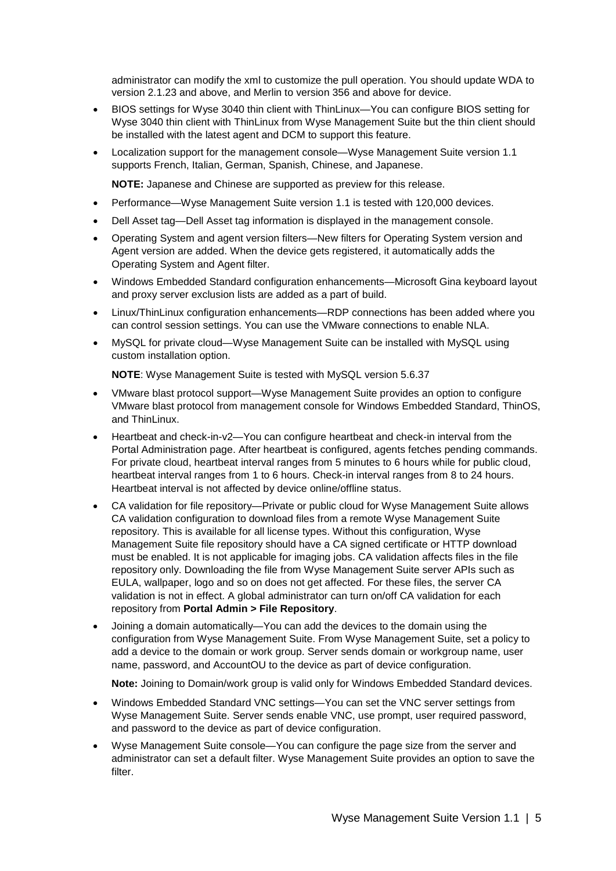administrator can modify the xml to customize the pull operation. You should update WDA to version 2.1.23 and above, and Merlin to version 356 and above for device.

- BIOS settings for Wyse 3040 thin client with ThinLinux—You can configure BIOS setting for Wyse 3040 thin client with ThinLinux from Wyse Management Suite but the thin client should be installed with the latest agent and DCM to support this feature.
- Localization support for the management console—Wyse Management Suite version 1.1 supports French, Italian, German, Spanish, Chinese, and Japanese.

**NOTE:** Japanese and Chinese are supported as preview for this release.

- Performance—Wyse Management Suite version 1.1 is tested with 120,000 devices.
- Dell Asset tag—Dell Asset tag information is displayed in the management console.
- Operating System and agent version filters—New filters for Operating System version and Agent version are added. When the device gets registered, it automatically adds the Operating System and Agent filter.
- Windows Embedded Standard configuration enhancements—Microsoft Gina keyboard layout and proxy server exclusion lists are added as a part of build.
- Linux/ThinLinux configuration enhancements—RDP connections has been added where you can control session settings. You can use the VMware connections to enable NLA.
- MySQL for private cloud—Wyse Management Suite can be installed with MySQL using custom installation option.

**NOTE**: Wyse Management Suite is tested with MySQL version 5.6.37

- VMware blast protocol support—Wyse Management Suite provides an option to configure VMware blast protocol from management console for Windows Embedded Standard, ThinOS, and ThinLinux.
- Heartbeat and check-in-v2—You can configure heartbeat and check-in interval from the Portal Administration page. After heartbeat is configured, agents fetches pending commands. For private cloud, heartbeat interval ranges from 5 minutes to 6 hours while for public cloud, heartbeat interval ranges from 1 to 6 hours. Check-in interval ranges from 8 to 24 hours. Heartbeat interval is not affected by device online/offline status.
- CA validation for file repository—Private or public cloud for Wyse Management Suite allows CA validation configuration to download files from a remote Wyse Management Suite repository. This is available for all license types. Without this configuration, Wyse Management Suite file repository should have a CA signed certificate or HTTP download must be enabled. It is not applicable for imaging jobs. CA validation affects files in the file repository only. Downloading the file from Wyse Management Suite server APIs such as EULA, wallpaper, logo and so on does not get affected. For these files, the server CA validation is not in effect. A global administrator can turn on/off CA validation for each repository from **Portal Admin > File Repository**.
- Joining a domain automatically—You can add the devices to the domain using the configuration from Wyse Management Suite. From Wyse Management Suite, set a policy to add a device to the domain or work group. Server sends domain or workgroup name, user name, password, and AccountOU to the device as part of device configuration.

**Note:** Joining to Domain/work group is valid only for Windows Embedded Standard devices.

- Windows Embedded Standard VNC settings—You can set the VNC server settings from Wyse Management Suite. Server sends enable VNC, use prompt, user required password, and password to the device as part of device configuration.
- Wyse Management Suite console—You can configure the page size from the server and administrator can set a default filter. Wyse Management Suite provides an option to save the filter.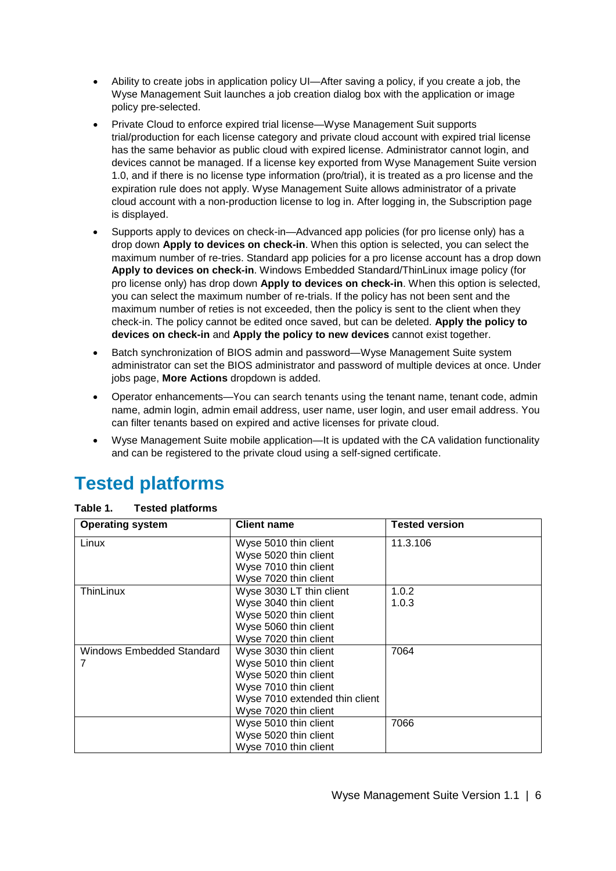- Ability to create jobs in application policy UI—After saving a policy, if you create a job, the Wyse Management Suit launches a job creation dialog box with the application or image policy pre-selected.
- Private Cloud to enforce expired trial license—Wyse Management Suit supports trial/production for each license category and private cloud account with expired trial license has the same behavior as public cloud with expired license. Administrator cannot login, and devices cannot be managed. If a license key exported from Wyse Management Suite version 1.0, and if there is no license type information (pro/trial), it is treated as a pro license and the expiration rule does not apply. Wyse Management Suite allows administrator of a private cloud account with a non-production license to log in. After logging in, the Subscription page is displayed.
- Supports apply to devices on check-in—Advanced app policies (for pro license only) has a drop down **Apply to devices on check-in**. When this option is selected, you can select the maximum number of re-tries. Standard app policies for a pro license account has a drop down **Apply to devices on check-in**. Windows Embedded Standard/ThinLinux image policy (for pro license only) has drop down **Apply to devices on check-in**. When this option is selected, you can select the maximum number of re-trials. If the policy has not been sent and the maximum number of reties is not exceeded, then the policy is sent to the client when they check-in. The policy cannot be edited once saved, but can be deleted. **Apply the policy to devices on check-in** and **Apply the policy to new devices** cannot exist together.
- Batch synchronization of BIOS admin and password—Wyse Management Suite system administrator can set the BIOS administrator and password of multiple devices at once. Under jobs page, **More Actions** dropdown is added.
- Operator enhancements—You can search tenants using the tenant name, tenant code, admin name, admin login, admin email address, user name, user login, and user email address. You can filter tenants based on expired and active licenses for private cloud.
- Wyse Management Suite mobile application—It is updated with the CA validation functionality and can be registered to the private cloud using a self-signed certificate.

### <span id="page-5-0"></span>**Tested platforms**

| <b>Operating system</b>          | <b>Client name</b>             | <b>Tested version</b> |
|----------------------------------|--------------------------------|-----------------------|
| Linux                            | Wyse 5010 thin client          | 11.3.106              |
|                                  | Wyse 5020 thin client          |                       |
|                                  | Wyse 7010 thin client          |                       |
|                                  | Wyse 7020 thin client          |                       |
| ThinLinux                        | Wyse 3030 LT thin client       | 1.0.2                 |
|                                  | Wyse 3040 thin client          | 1.0.3                 |
|                                  | Wyse 5020 thin client          |                       |
|                                  | Wyse 5060 thin client          |                       |
|                                  | Wyse 7020 thin client          |                       |
| <b>Windows Embedded Standard</b> | Wyse 3030 thin client          | 7064                  |
| 7                                | Wyse 5010 thin client          |                       |
|                                  | Wyse 5020 thin client          |                       |
|                                  | Wyse 7010 thin client          |                       |
|                                  | Wyse 7010 extended thin client |                       |
|                                  | Wyse 7020 thin client          |                       |
|                                  | Wyse 5010 thin client          | 7066                  |
|                                  | Wyse 5020 thin client          |                       |
|                                  | Wyse 7010 thin client          |                       |

#### **Table 1. Tested platforms**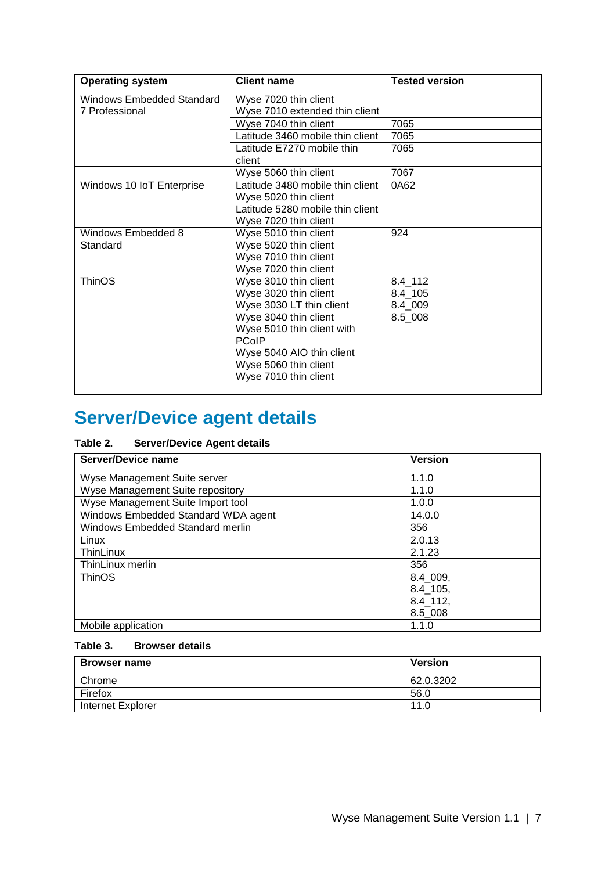| <b>Operating system</b>          | <b>Client name</b>               | <b>Tested version</b> |
|----------------------------------|----------------------------------|-----------------------|
| <b>Windows Embedded Standard</b> | Wyse 7020 thin client            |                       |
| 7 Professional                   | Wyse 7010 extended thin client   |                       |
|                                  | Wyse 7040 thin client            | 7065                  |
|                                  | Latitude 3460 mobile thin client | 7065                  |
|                                  | Latitude E7270 mobile thin       | 7065                  |
|                                  | client                           |                       |
|                                  | Wyse 5060 thin client            | 7067                  |
| Windows 10 IoT Enterprise        | Latitude 3480 mobile thin client | 0A62                  |
|                                  | Wyse 5020 thin client            |                       |
|                                  | Latitude 5280 mobile thin client |                       |
|                                  | Wyse 7020 thin client            |                       |
| Windows Embedded 8               | Wyse 5010 thin client            | 924                   |
| Standard                         | Wyse 5020 thin client            |                       |
|                                  | Wyse 7010 thin client            |                       |
|                                  | Wyse 7020 thin client            |                       |
| <b>ThinOS</b>                    | Wyse 3010 thin client            | $8.4 - 112$           |
|                                  | Wyse 3020 thin client            | $8.4 - 105$           |
|                                  | Wyse 3030 LT thin client         | 8.4_009               |
|                                  | Wyse 3040 thin client            | 8.5 008               |
|                                  | Wyse 5010 thin client with       |                       |
|                                  | <b>PCoIP</b>                     |                       |
|                                  | Wyse 5040 AIO thin client        |                       |
|                                  | Wyse 5060 thin client            |                       |
|                                  | Wyse 7010 thin client            |                       |
|                                  |                                  |                       |

## <span id="page-6-0"></span>**Server/Device agent details**

#### **Table 2. Server/Device Agent details**

| <b>Server/Device name</b>               | <b>Version</b> |
|-----------------------------------------|----------------|
| Wyse Management Suite server            | 1.1.0          |
| Wyse Management Suite repository        | 1.1.0          |
| Wyse Management Suite Import tool       | 1.0.0          |
| Windows Embedded Standard WDA agent     | 14.0.0         |
| <b>Windows Embedded Standard merlin</b> | 356            |
| Linux                                   | 2.0.13         |
| <b>ThinLinux</b>                        | 2.1.23         |
| ThinLinux merlin                        | 356            |
| <b>ThinOS</b>                           | 8.4 009,       |
|                                         | 8.4 105,       |
|                                         | $8.4 - 112,$   |
|                                         | $8.5 - 008$    |
| Mobile application                      | 1.1.0          |

#### **Table 3. Browser details**

| <b>Browser name</b> | <b>Version</b> |
|---------------------|----------------|
| Chrome              | 62.0.3202      |
| Firefox             | 56.0           |
| Internet Explorer   | 11.0           |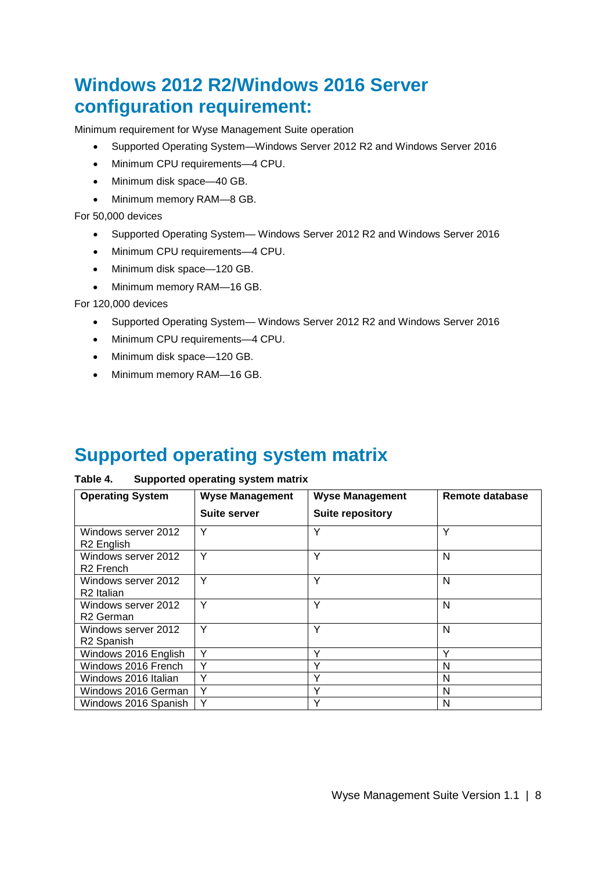### <span id="page-7-0"></span>**Windows 2012 R2/Windows 2016 Server configuration requirement:**

Minimum requirement for Wyse Management Suite operation

- Supported Operating System—Windows Server 2012 R2 and Windows Server 2016
- Minimum CPU requirements—4 CPU.
- Minimum disk space—40 GB.
- Minimum memory RAM—8 GB.

For 50,000 devices

- Supported Operating System— Windows Server 2012 R2 and Windows Server 2016
- Minimum CPU requirements—4 CPU.
- Minimum disk space—120 GB.
- Minimum memory RAM—16 GB.

For 120,000 devices

- Supported Operating System— Windows Server 2012 R2 and Windows Server 2016
- Minimum CPU requirements—4 CPU.
- Minimum disk space—120 GB.
- Minimum memory RAM—16 GB.

### <span id="page-7-1"></span>**Supported operating system matrix**

#### **Table 4. Supported operating system matrix**

| <b>Operating System</b>                       | <b>Wyse Management</b> | <b>Wyse Management</b>  | Remote database |
|-----------------------------------------------|------------------------|-------------------------|-----------------|
|                                               | <b>Suite server</b>    | <b>Suite repository</b> |                 |
| Windows server 2012<br>R <sub>2</sub> English | Y                      | Y                       | Υ               |
| Windows server 2012<br>R <sub>2</sub> French  | Υ                      | Υ                       | N               |
| Windows server 2012<br>R <sub>2</sub> Italian | Υ                      | Υ                       | N               |
| Windows server 2012<br>R <sub>2</sub> German  | Υ                      | Υ                       | N               |
| Windows server 2012<br>R <sub>2</sub> Spanish | Υ                      | Υ                       | N               |
| Windows 2016 English                          | Υ                      | Υ                       | $\checkmark$    |
| Windows 2016 French                           | Υ                      | ٧                       | N               |
| Windows 2016 Italian                          | Υ                      | v                       | N               |
| Windows 2016 German                           | Υ                      | Υ                       | N               |
| Windows 2016 Spanish                          | Y                      | Υ                       | N               |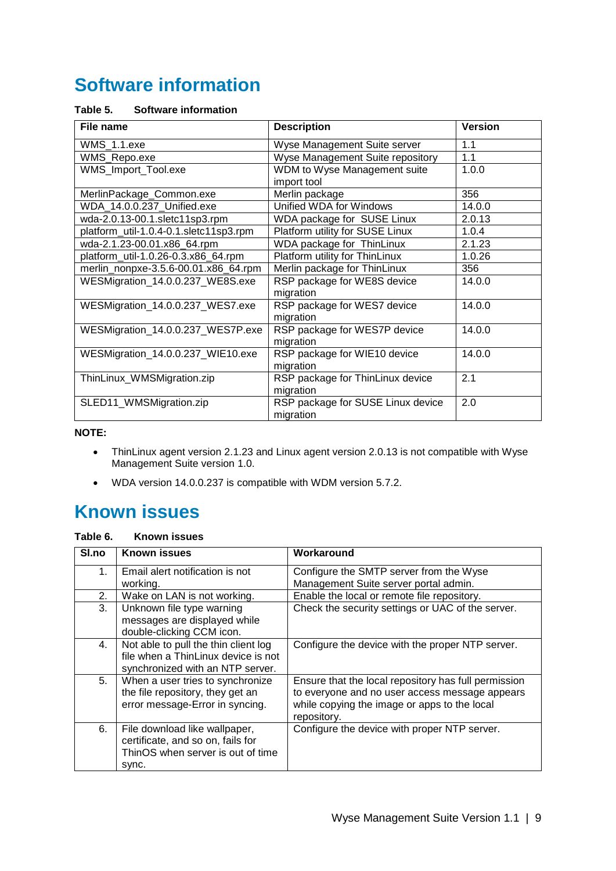### <span id="page-8-0"></span>**Software information**

#### **Table 5. Software information**

| File name                              | <b>Description</b>                | <b>Version</b> |
|----------------------------------------|-----------------------------------|----------------|
| WMS_1.1.exe                            | Wyse Management Suite server      | 1.1            |
| WMS_Repo.exe                           | Wyse Management Suite repository  | 1.1            |
| WMS_Import_Tool.exe                    | WDM to Wyse Management suite      | 1.0.0          |
|                                        | import tool                       |                |
| MerlinPackage_Common.exe               | Merlin package                    | 356            |
| WDA_14.0.0.237_Unified.exe             | Unified WDA for Windows           | 14.0.0         |
| wda-2.0.13-00.1.sletc11sp3.rpm         | WDA package for SUSE Linux        | 2.0.13         |
| platform_util-1.0.4-0.1.sletc11sp3.rpm | Platform utility for SUSE Linux   | 1.0.4          |
| wda-2.1.23-00.01.x86_64.rpm            | WDA package for ThinLinux         | 2.1.23         |
| platform_util-1.0.26-0.3.x86_64.rpm    | Platform utility for ThinLinux    | 1.0.26         |
| merlin_nonpxe-3.5.6-00.01.x86_64.rpm   | Merlin package for ThinLinux      | 356            |
| WESMigration_14.0.0.237_WE8S.exe       | RSP package for WE8S device       | 14.0.0         |
|                                        | migration                         |                |
| WESMigration_14.0.0.237_WES7.exe       | RSP package for WES7 device       | 14.0.0         |
|                                        | migration                         |                |
| WESMigration_14.0.0.237_WES7P.exe      | RSP package for WES7P device      | 14.0.0         |
|                                        | migration                         |                |
| WESMigration_14.0.0.237_WIE10.exe      | RSP package for WIE10 device      | 14.0.0         |
|                                        | migration                         |                |
| ThinLinux_WMSMigration.zip             | RSP package for ThinLinux device  | 2.1            |
|                                        | migration                         |                |
| SLED11_WMSMigration.zip                | RSP package for SUSE Linux device | 2.0            |
|                                        | migration                         |                |

**NOTE:**

- ThinLinux agent version 2.1.23 and Linux agent version 2.0.13 is not compatible with Wyse Management Suite version 1.0.
- WDA version 14.0.0.237 is compatible with WDM version 5.7.2.

### <span id="page-8-1"></span>**Known issues**

#### **Table 6. Known issues**

| SI.no | <b>Known issues</b>                                                                                              | Workaround                                                                                                                                                            |
|-------|------------------------------------------------------------------------------------------------------------------|-----------------------------------------------------------------------------------------------------------------------------------------------------------------------|
| 1.    | Email alert notification is not                                                                                  | Configure the SMTP server from the Wyse                                                                                                                               |
|       | working.                                                                                                         | Management Suite server portal admin.                                                                                                                                 |
| 2.    | Wake on LAN is not working.                                                                                      | Enable the local or remote file repository.                                                                                                                           |
| 3.    | Unknown file type warning<br>messages are displayed while<br>double-clicking CCM icon.                           | Check the security settings or UAC of the server.                                                                                                                     |
| 4.    | Not able to pull the thin client log<br>file when a ThinLinux device is not<br>synchronized with an NTP server.  | Configure the device with the proper NTP server.                                                                                                                      |
| 5.    | When a user tries to synchronize<br>the file repository, they get an<br>error message-Error in syncing.          | Ensure that the local repository has full permission<br>to everyone and no user access message appears<br>while copying the image or apps to the local<br>repository. |
| 6.    | File download like wallpaper,<br>certificate, and so on, fails for<br>ThinOS when server is out of time<br>sync. | Configure the device with proper NTP server.                                                                                                                          |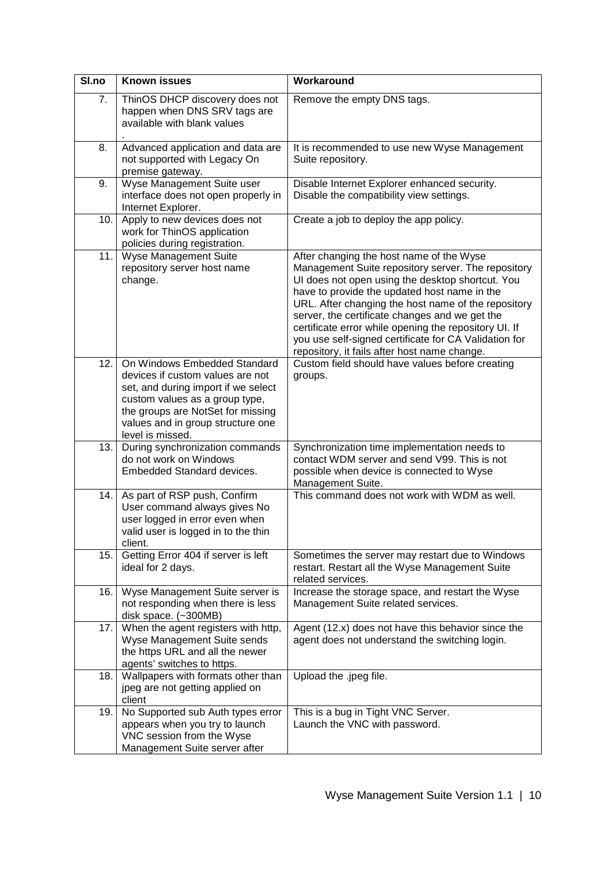| SI.no | <b>Known issues</b>                                                                                                                                                                                                                     | Workaround                                                                                                                                                                                                                                                                                                                                                                                                                                                                    |  |
|-------|-----------------------------------------------------------------------------------------------------------------------------------------------------------------------------------------------------------------------------------------|-------------------------------------------------------------------------------------------------------------------------------------------------------------------------------------------------------------------------------------------------------------------------------------------------------------------------------------------------------------------------------------------------------------------------------------------------------------------------------|--|
| 7.    | ThinOS DHCP discovery does not<br>happen when DNS SRV tags are<br>available with blank values                                                                                                                                           | Remove the empty DNS tags.                                                                                                                                                                                                                                                                                                                                                                                                                                                    |  |
| 8.    | Advanced application and data are<br>not supported with Legacy On<br>premise gateway.                                                                                                                                                   | It is recommended to use new Wyse Management<br>Suite repository.                                                                                                                                                                                                                                                                                                                                                                                                             |  |
| 9.    | Wyse Management Suite user<br>interface does not open properly in<br>Internet Explorer.                                                                                                                                                 | Disable Internet Explorer enhanced security.<br>Disable the compatibility view settings.                                                                                                                                                                                                                                                                                                                                                                                      |  |
| 10.   | Apply to new devices does not<br>work for ThinOS application<br>policies during registration.                                                                                                                                           | Create a job to deploy the app policy.                                                                                                                                                                                                                                                                                                                                                                                                                                        |  |
| 11.   | Wyse Management Suite<br>repository server host name<br>change.                                                                                                                                                                         | After changing the host name of the Wyse<br>Management Suite repository server. The repository<br>UI does not open using the desktop shortcut. You<br>have to provide the updated host name in the<br>URL. After changing the host name of the repository<br>server, the certificate changes and we get the<br>certificate error while opening the repository UI. If<br>you use self-signed certificate for CA Validation for<br>repository, it fails after host name change. |  |
| 12.   | On Windows Embedded Standard<br>devices if custom values are not<br>set, and during import if we select<br>custom values as a group type,<br>the groups are NotSet for missing<br>values and in group structure one<br>level is missed. | Custom field should have values before creating<br>groups.                                                                                                                                                                                                                                                                                                                                                                                                                    |  |
| 13.   | During synchronization commands<br>do not work on Windows<br>Embedded Standard devices.                                                                                                                                                 | Synchronization time implementation needs to<br>contact WDM server and send V99. This is not<br>possible when device is connected to Wyse<br>Management Suite.                                                                                                                                                                                                                                                                                                                |  |
| 14.   | As part of RSP push, Confirm<br>User command always gives No<br>user logged in error even when<br>valid user is logged in to the thin<br>client.                                                                                        | This command does not work with WDM as well.                                                                                                                                                                                                                                                                                                                                                                                                                                  |  |
| 15.   | Getting Error 404 if server is left<br>ideal for 2 days.                                                                                                                                                                                | Sometimes the server may restart due to Windows<br>restart. Restart all the Wyse Management Suite<br>related services.                                                                                                                                                                                                                                                                                                                                                        |  |
| 16.   | Wyse Management Suite server is<br>not responding when there is less<br>disk space. (~300MB)                                                                                                                                            | Increase the storage space, and restart the Wyse<br>Management Suite related services.                                                                                                                                                                                                                                                                                                                                                                                        |  |
| 17.   | When the agent registers with http,<br>Wyse Management Suite sends<br>the https URL and all the newer<br>agents' switches to https.                                                                                                     | Agent (12.x) does not have this behavior since the<br>agent does not understand the switching login.                                                                                                                                                                                                                                                                                                                                                                          |  |
| 18.   | Wallpapers with formats other than<br>jpeg are not getting applied on<br>client                                                                                                                                                         | Upload the .jpeg file.                                                                                                                                                                                                                                                                                                                                                                                                                                                        |  |
| 19.   | No Supported sub Auth types error<br>appears when you try to launch<br>VNC session from the Wyse<br>Management Suite server after                                                                                                       | This is a bug in Tight VNC Server.<br>Launch the VNC with password.                                                                                                                                                                                                                                                                                                                                                                                                           |  |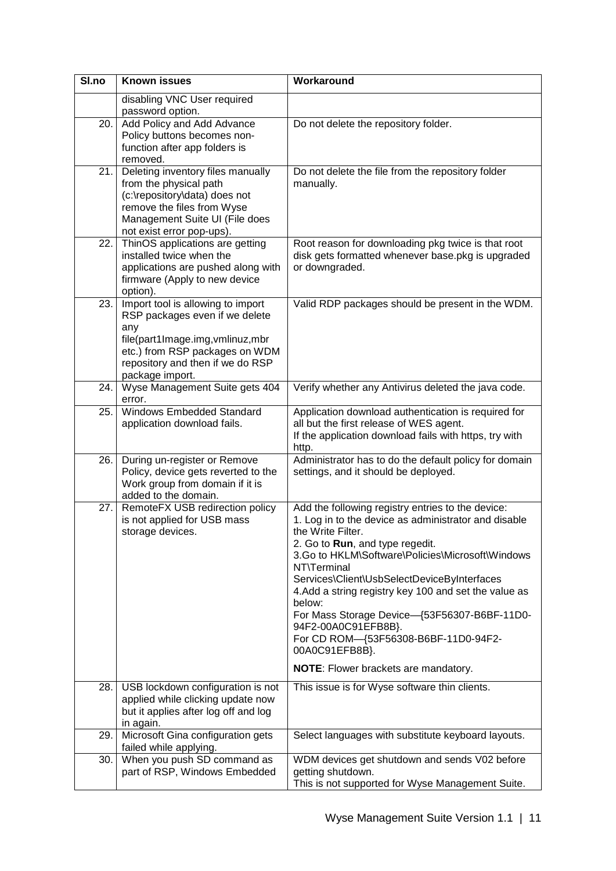| SI.no | <b>Known issues</b>                                                                                                                                                                                    | Workaround                                                                                                                                                                                                                                                                                                                                                                                                                                                                                                                      |  |  |
|-------|--------------------------------------------------------------------------------------------------------------------------------------------------------------------------------------------------------|---------------------------------------------------------------------------------------------------------------------------------------------------------------------------------------------------------------------------------------------------------------------------------------------------------------------------------------------------------------------------------------------------------------------------------------------------------------------------------------------------------------------------------|--|--|
|       | disabling VNC User required<br>password option.                                                                                                                                                        |                                                                                                                                                                                                                                                                                                                                                                                                                                                                                                                                 |  |  |
| 20.   | Add Policy and Add Advance<br>Policy buttons becomes non-<br>function after app folders is<br>removed.                                                                                                 | Do not delete the repository folder.                                                                                                                                                                                                                                                                                                                                                                                                                                                                                            |  |  |
| 21.   | Deleting inventory files manually<br>from the physical path<br>(c:\repository\data) does not<br>remove the files from Wyse<br>Management Suite UI (File does<br>not exist error pop-ups).              | Do not delete the file from the repository folder<br>manually.                                                                                                                                                                                                                                                                                                                                                                                                                                                                  |  |  |
| 22.   | ThinOS applications are getting<br>installed twice when the<br>applications are pushed along with<br>firmware (Apply to new device<br>option).                                                         | Root reason for downloading pkg twice is that root<br>disk gets formatted whenever base.pkg is upgraded<br>or downgraded.                                                                                                                                                                                                                                                                                                                                                                                                       |  |  |
| 23.   | Import tool is allowing to import<br>RSP packages even if we delete<br>any<br>file(part1Image.img,vmlinuz,mbr<br>etc.) from RSP packages on WDM<br>repository and then if we do RSP<br>package import. | Valid RDP packages should be present in the WDM.                                                                                                                                                                                                                                                                                                                                                                                                                                                                                |  |  |
| 24.   | Wyse Management Suite gets 404<br>error.                                                                                                                                                               | Verify whether any Antivirus deleted the java code.                                                                                                                                                                                                                                                                                                                                                                                                                                                                             |  |  |
| 25.   | Windows Embedded Standard<br>application download fails.                                                                                                                                               | Application download authentication is required for<br>all but the first release of WES agent.<br>If the application download fails with https, try with<br>http.                                                                                                                                                                                                                                                                                                                                                               |  |  |
| 26.   | During un-register or Remove<br>Policy, device gets reverted to the<br>Work group from domain if it is<br>added to the domain.                                                                         | Administrator has to do the default policy for domain<br>settings, and it should be deployed.                                                                                                                                                                                                                                                                                                                                                                                                                                   |  |  |
| 27.   | RemoteFX USB redirection policy<br>is not applied for USB mass<br>storage devices.                                                                                                                     | Add the following registry entries to the device:<br>1. Log in to the device as administrator and disable<br>the Write Filter.<br>2. Go to Run, and type regedit.<br>3.Go to HKLM\Software\Policies\Microsoft\Windows<br>NT\Terminal<br>Services\Client\UsbSelectDeviceByInterfaces<br>4. Add a string registry key 100 and set the value as<br>below:<br>For Mass Storage Device-{53F56307-B6BF-11D0-<br>94F2-00A0C91EFB8B}.<br>For CD ROM-{53F56308-B6BF-11D0-94F2-<br>00A0C91EFB8B}.<br>NOTE: Flower brackets are mandatory. |  |  |
| 28.   | USB lockdown configuration is not<br>applied while clicking update now<br>but it applies after log off and log<br>in again.                                                                            | This issue is for Wyse software thin clients.                                                                                                                                                                                                                                                                                                                                                                                                                                                                                   |  |  |
| 29.   | Microsoft Gina configuration gets<br>failed while applying.                                                                                                                                            | Select languages with substitute keyboard layouts.                                                                                                                                                                                                                                                                                                                                                                                                                                                                              |  |  |
| 30.   | When you push SD command as<br>part of RSP, Windows Embedded                                                                                                                                           | WDM devices get shutdown and sends V02 before<br>getting shutdown.<br>This is not supported for Wyse Management Suite.                                                                                                                                                                                                                                                                                                                                                                                                          |  |  |